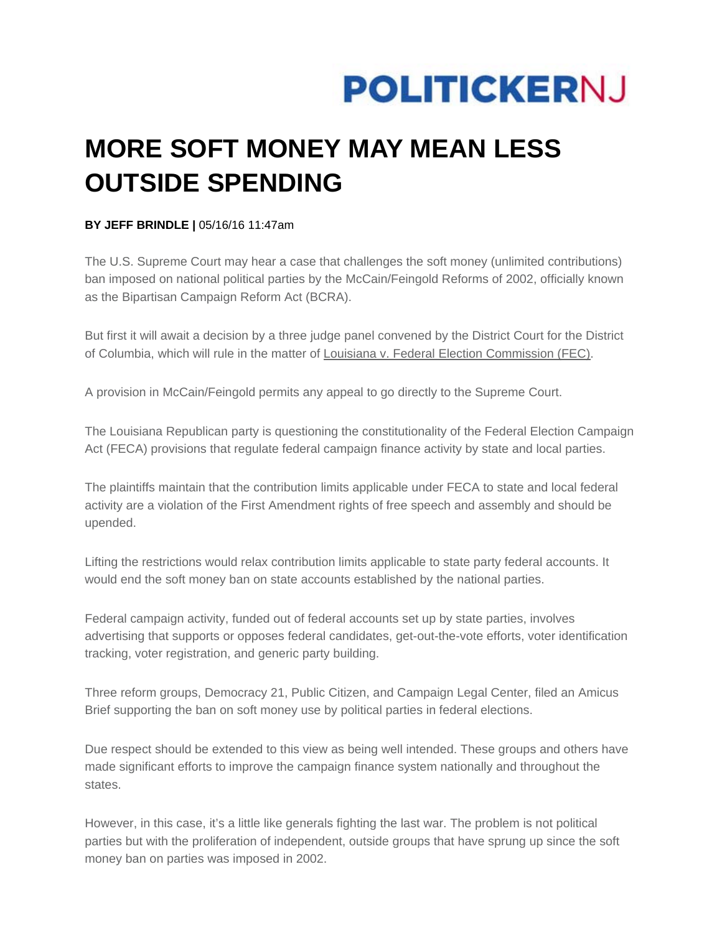

## **MORE SOFT MONEY MAY MEAN LESS OUTSIDE SPENDING**

## **BY JEFF BRINDLE |** 05/16/16 11:47am

The U.S. Supreme Court may hear a case that challenges the soft money (unlimited contributions) ban imposed on national political parties by the McCain/Feingold Reforms of 2002, officially known as the Bipartisan Campaign Reform Act (BCRA).

But first it will await a decision by a three judge panel convened by the District Court for the District of Columbia, which will rule in the matter of Louisiana v. Federal Election Commission (FEC).

A provision in McCain/Feingold permits any appeal to go directly to the Supreme Court.

The Louisiana Republican party is questioning the constitutionality of the Federal Election Campaign Act (FECA) provisions that regulate federal campaign finance activity by state and local parties.

The plaintiffs maintain that the contribution limits applicable under FECA to state and local federal activity are a violation of the First Amendment rights of free speech and assembly and should be upended.

Lifting the restrictions would relax contribution limits applicable to state party federal accounts. It would end the soft money ban on state accounts established by the national parties.

Federal campaign activity, funded out of federal accounts set up by state parties, involves advertising that supports or opposes federal candidates, get-out-the-vote efforts, voter identification tracking, voter registration, and generic party building.

Three reform groups, Democracy 21, Public Citizen, and Campaign Legal Center, filed an Amicus Brief supporting the ban on soft money use by political parties in federal elections.

Due respect should be extended to this view as being well intended. These groups and others have made significant efforts to improve the campaign finance system nationally and throughout the states.

However, in this case, it's a little like generals fighting the last war. The problem is not political parties but with the proliferation of independent, outside groups that have sprung up since the soft money ban on parties was imposed in 2002.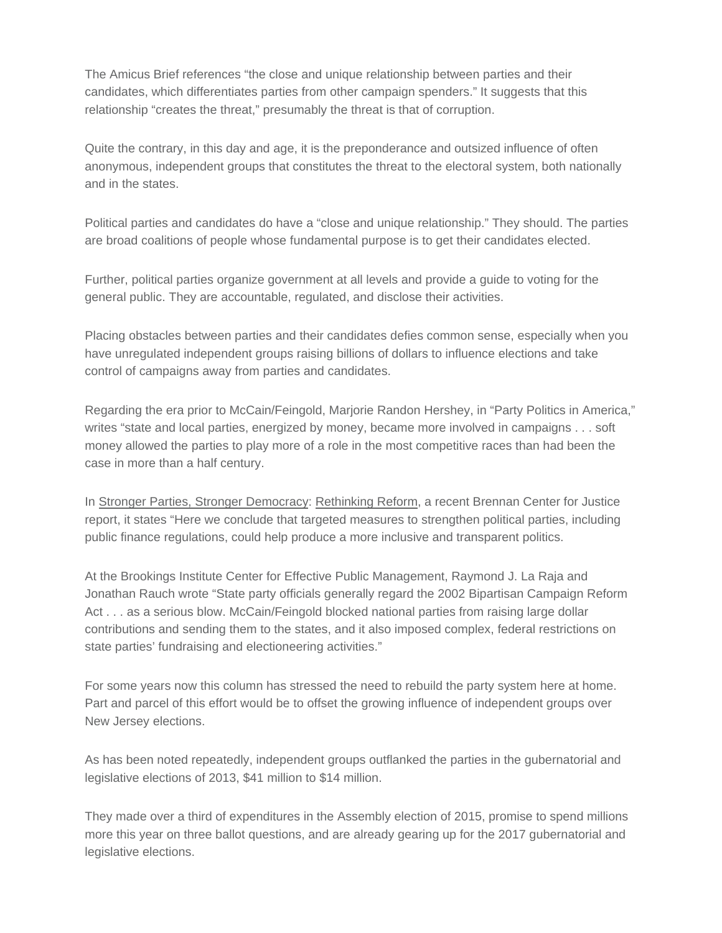The Amicus Brief references "the close and unique relationship between parties and their candidates, which differentiates parties from other campaign spenders." It suggests that this relationship "creates the threat," presumably the threat is that of corruption.

Quite the contrary, in this day and age, it is the preponderance and outsized influence of often anonymous, independent groups that constitutes the threat to the electoral system, both nationally and in the states.

Political parties and candidates do have a "close and unique relationship." They should. The parties are broad coalitions of people whose fundamental purpose is to get their candidates elected.

Further, political parties organize government at all levels and provide a guide to voting for the general public. They are accountable, regulated, and disclose their activities.

Placing obstacles between parties and their candidates defies common sense, especially when you have unregulated independent groups raising billions of dollars to influence elections and take control of campaigns away from parties and candidates.

Regarding the era prior to McCain/Feingold, Marjorie Randon Hershey, in "Party Politics in America," writes "state and local parties, energized by money, became more involved in campaigns . . . soft money allowed the parties to play more of a role in the most competitive races than had been the case in more than a half century.

In Stronger Parties, Stronger Democracy: Rethinking Reform, a recent Brennan Center for Justice report, it states "Here we conclude that targeted measures to strengthen political parties, including public finance regulations, could help produce a more inclusive and transparent politics.

At the Brookings Institute Center for Effective Public Management, Raymond J. La Raja and Jonathan Rauch wrote "State party officials generally regard the 2002 Bipartisan Campaign Reform Act . . . as a serious blow. McCain/Feingold blocked national parties from raising large dollar contributions and sending them to the states, and it also imposed complex, federal restrictions on state parties' fundraising and electioneering activities."

For some years now this column has stressed the need to rebuild the party system here at home. Part and parcel of this effort would be to offset the growing influence of independent groups over New Jersey elections.

As has been noted repeatedly, independent groups outflanked the parties in the gubernatorial and legislative elections of 2013, \$41 million to \$14 million.

They made over a third of expenditures in the Assembly election of 2015, promise to spend millions more this year on three ballot questions, and are already gearing up for the 2017 gubernatorial and legislative elections.